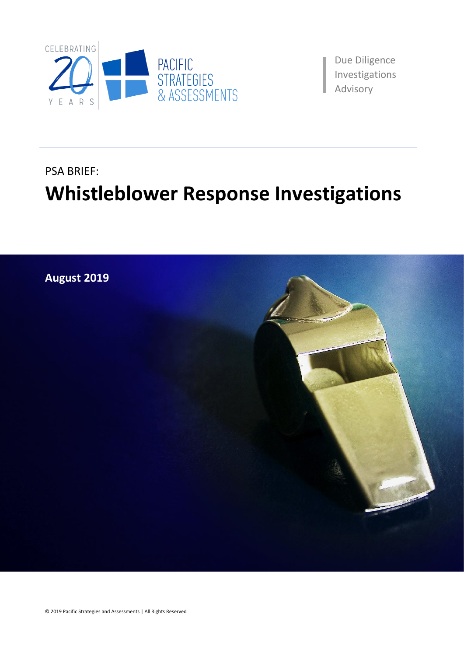

Due Diligence Investigations aAdvisory

# PSA BRIEF: **Whistleblower Response Investigations**

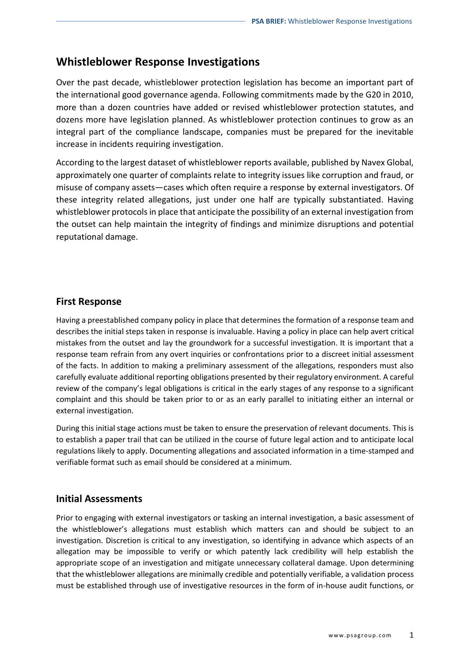# **Whistleblower Response Investigations**

Over the past decade, whistleblower protection legislation has become an important part of the international good governance agenda. Following commitments made by the G20 in 2010, more than a dozen countries have added or revised whistleblower protection statutes, and dozens more have legislation planned. As whistleblower protection continues to grow as an integral part of the compliance landscape, companies must be prepared for the inevitable increase in incidents requiring investigation.

According to the largest dataset of whistleblower reports available, published by Navex Global, approximately one quarter of complaints relate to integrity issues like corruption and fraud, or misuse of company assets—cases which often require a response by external investigators. Of these integrity related allegations, just under one half are typically substantiated. Having whistleblower protocols in place that anticipate the possibility of an external investigation from the outset can help maintain the integrity of findings and minimize disruptions and potential reputational damage.

### **First Response**

Having a preestablished company policy in place that determines the formation of a response team and describes the initial steps taken in response is invaluable. Having a policy in place can help avert critical mistakes from the outset and lay the groundwork for a successful investigation. It is important that a response team refrain from any overt inquiries or confrontations prior to a discreet initial assessment of the facts. In addition to making a preliminary assessment of the allegations, responders must also carefully evaluate additional reporting obligations presented by their regulatory environment. A careful review of the company's legal obligations is critical in the early stages of any response to a significant complaint and this should be taken prior to or as an early parallel to initiating either an internal or external investigation.

During this initial stage actions must be taken to ensure the preservation of relevant documents. This is to establish a paper trail that can be utilized in the course of future legal action and to anticipate local regulations likely to apply. Documenting allegations and associated information in a time-stamped and verifiable format such as email should be considered at a minimum.

### **Initial Assessments**

Prior to engaging with external investigators or tasking an internal investigation, a basic assessment of the whistleblower's allegations must establish which matters can and should be subject to an investigation. Discretion is critical to any investigation, so identifying in advance which aspects of an allegation may be impossible to verify or which patently lack credibility will help establish the appropriate scope of an investigation and mitigate unnecessary collateral damage. Upon determining that the whistleblower allegations are minimally credible and potentially verifiable, a validation process must be established through use of investigative resources in the form of in-house audit functions, or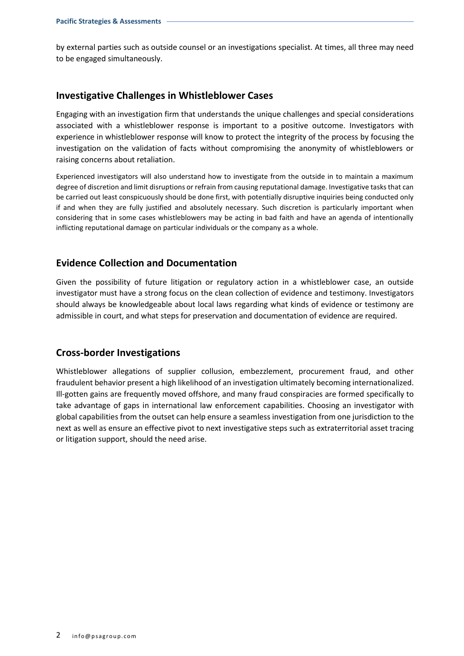by external parties such as outside counsel or an investigations specialist. At times, all three may need to be engaged simultaneously.

#### **Investigative Challenges in Whistleblower Cases**

Engaging with an investigation firm that understands the unique challenges and special considerations associated with a whistleblower response is important to a positive outcome. Investigators with experience in whistleblower response will know to protect the integrity of the process by focusing the investigation on the validation of facts without compromising the anonymity of whistleblowers or raising concerns about retaliation.

Experienced investigators will also understand how to investigate from the outside in to maintain a maximum degree of discretion and limit disruptions or refrain from causing reputational damage. Investigative tasks that can be carried out least conspicuously should be done first, with potentially disruptive inquiries being conducted only if and when they are fully justified and absolutely necessary. Such discretion is particularly important when considering that in some cases whistleblowers may be acting in bad faith and have an agenda of intentionally inflicting reputational damage on particular individuals or the company as a whole.

### **Evidence Collection and Documentation**

Given the possibility of future litigation or regulatory action in a whistleblower case, an outside investigator must have a strong focus on the clean collection of evidence and testimony. Investigators should always be knowledgeable about local laws regarding what kinds of evidence or testimony are admissible in court, and what steps for preservation and documentation of evidence are required.

### **Cross-border Investigations**

Whistleblower allegations of supplier collusion, embezzlement, procurement fraud, and other fraudulent behavior present a high likelihood of an investigation ultimately becoming internationalized. Ill-gotten gains are frequently moved offshore, and many fraud conspiracies are formed specifically to take advantage of gaps in international law enforcement capabilities. Choosing an investigator with global capabilities from the outset can help ensure a seamless investigation from one jurisdiction to the next as well as ensure an effective pivot to next investigative steps such as extraterritorial asset tracing or litigation support, should the need arise.